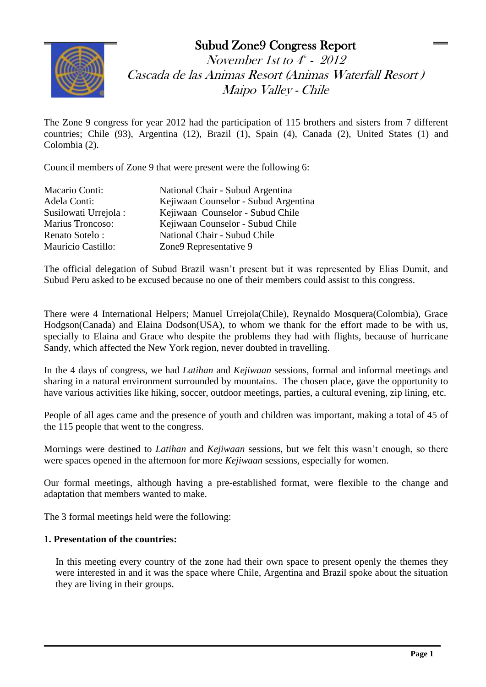## Subud Zone9 Congress Report



November 1st to  $4^{\scriptscriptstyle\#}$  -  $~2012$ Cascada de las Animas Resort (Animas Waterfall Resort ) Maipo Valley - Chile

The Zone 9 congress for year 2012 had the participation of 115 brothers and sisters from 7 different countries; Chile (93), Argentina (12), Brazil (1), Spain (4), Canada (2), United States (1) and Colombia (2). **Florianó**

Council members of Zone 9 that were present were the following 6:

| Macario Conti:            | National Chair - Subud Argentina     |
|---------------------------|--------------------------------------|
| Adela Conti:              | Kejiwaan Counselor - Subud Argentina |
| Susilowati Urrejola:      | Kejiwaan Counselor - Subud Chile     |
| Marius Troncoso:          | Kejiwaan Counselor - Subud Chile     |
| Renato Sotelo:            | National Chair - Subud Chile         |
| <b>Mauricio Castillo:</b> | Zone9 Representative 9               |

The official delegation of Subud Brazil wasn't present but it was represented by Elias Dumit, and Subud Peru asked to be excused because no one of their members could assist to this congress.

There were 4 International Helpers; Manuel Urrejola(Chile), Reynaldo Mosquera(Colombia), Grace Hodgson(Canada) and Elaina Dodson(USA), to whom we thank for the effort made to be with us, specially to Elaina and Grace who despite the problems they had with flights, because of hurricane Sandy, which affected the New York region, never doubted in travelling.

In the 4 days of congress, we had *Latihan* and *Kejiwaan* sessions, formal and informal meetings and sharing in a natural environment surrounded by mountains. The chosen place, gave the opportunity to have various activities like hiking, soccer, outdoor meetings, parties, a cultural evening, zip lining, etc.

People of all ages came and the presence of youth and children was important, making a total of 45 of the 115 people that went to the congress.

Mornings were destined to *Latihan* and *Kejiwaan* sessions, but we felt this wasn't enough, so there were spaces opened in the afternoon for more *Kejiwaan* sessions, especially for women.

Our formal meetings, although having a pre-established format, were flexible to the change and adaptation that members wanted to make.

The 3 formal meetings held were the following:

## **1. Presentation of the countries:**

 $\overline{a}$ 

In this meeting every country of the zone had their own space to present openly the themes they were interested in and it was the space where Chile, Argentina and Brazil spoke about the situation they are living in their groups.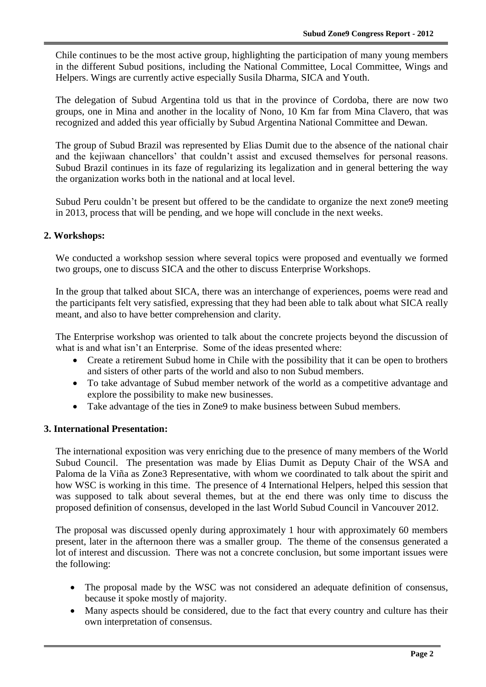Chile continues to be the most active group, highlighting the participation of many young members in the different Subud positions, including the National Committee, Local Committee, Wings and Helpers. Wings are currently active especially Susila Dharma, SICA and Youth.

The delegation of Subud Argentina told us that in the province of Cordoba, there are now two groups, one in Mina and another in the locality of Nono, 10 Km far from Mina Clavero, that was recognized and added this year officially by Subud Argentina National Committee and Dewan.

The group of Subud Brazil was represented by Elias Dumit due to the absence of the national chair and the kejiwaan chancellors' that couldn't assist and excused themselves for personal reasons. Subud Brazil continues in its faze of regularizing its legalization and in general bettering the way the organization works both in the national and at local level.

Subud Peru couldn't be present but offered to be the candidate to organize the next zone9 meeting in 2013, process that will be pending, and we hope will conclude in the next weeks.

## **2. Workshops:**

We conducted a workshop session where several topics were proposed and eventually we formed two groups, one to discuss SICA and the other to discuss Enterprise Workshops.

In the group that talked about SICA, there was an interchange of experiences, poems were read and the participants felt very satisfied, expressing that they had been able to talk about what SICA really meant, and also to have better comprehension and clarity.

The Enterprise workshop was oriented to talk about the concrete projects beyond the discussion of what is and what isn't an Enterprise. Some of the ideas presented where:

- Create a retirement Subud home in Chile with the possibility that it can be open to brothers and sisters of other parts of the world and also to non Subud members.
- To take advantage of Subud member network of the world as a competitive advantage and explore the possibility to make new businesses.
- Take advantage of the ties in Zone9 to make business between Subud members.

## **3. International Presentation:**

 $\overline{a}$ 

The international exposition was very enriching due to the presence of many members of the World Subud Council. The presentation was made by Elias Dumit as Deputy Chair of the WSA and Paloma de la Viña as Zone3 Representative, with whom we coordinated to talk about the spirit and how WSC is working in this time. The presence of 4 International Helpers, helped this session that was supposed to talk about several themes, but at the end there was only time to discuss the proposed definition of consensus, developed in the last World Subud Council in Vancouver 2012.

The proposal was discussed openly during approximately 1 hour with approximately 60 members present, later in the afternoon there was a smaller group. The theme of the consensus generated a lot of interest and discussion. There was not a concrete conclusion, but some important issues were the following:

- The proposal made by the WSC was not considered an adequate definition of consensus, because it spoke mostly of majority.
- Many aspects should be considered, due to the fact that every country and culture has their own interpretation of consensus.